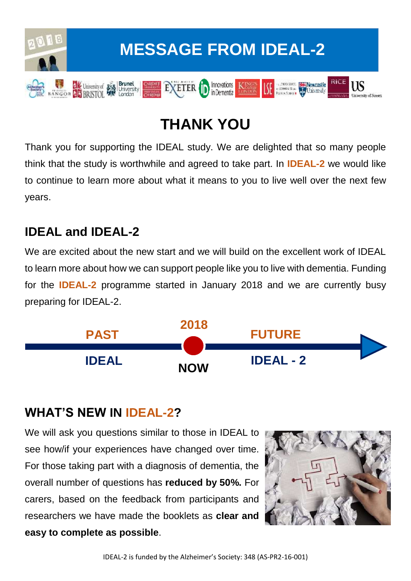

## **THANK YOU**

Thank you for supporting the IDEAL study. We are delighted that so many people think that the study is worthwhile and agreed to take part. In **IDEAL-2** we would like to continue to learn more about what it means to you to live well over the next few years.

### **IDEAL and IDEAL-2**

We are excited about the new start and we will build on the excellent work of IDEAL to learn more about how we can support people like you to live with dementia. Funding for the **IDEAL-2** programme started in January 2018 and we are currently busy preparing for IDEAL-2.



#### **WHAT'S NEW IN IDEAL-2?**

We will ask you questions similar to those in IDEAL to see how/if your experiences have changed over time. For those taking part with a diagnosis of dementia, the overall number of questions has **reduced by 50%.** For carers, based on the feedback from participants and researchers we have made the booklets as **clear and easy to complete as possible**.